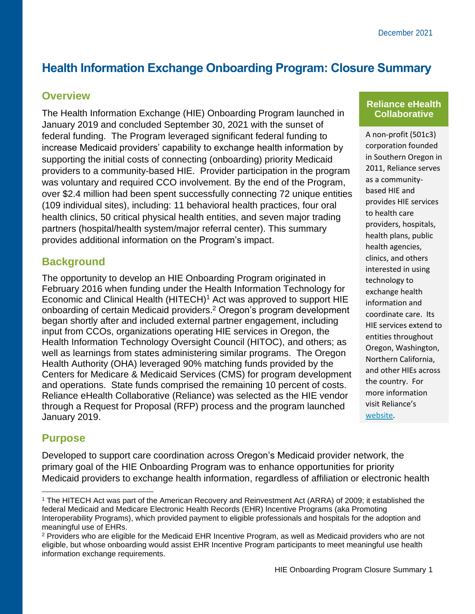# **Health Information Exchange Onboarding Program: Closure Summary**

### **Overview**

The Health Information Exchange (HIE) Onboarding Program launched in January 2019 and concluded September 30, 2021 with the sunset of federal funding. The Program leveraged significant federal funding to increase Medicaid providers' capability to exchange health information by supporting the initial costs of connecting (onboarding) priority Medicaid providers to a community-based HIE. Provider participation in the program was voluntary and required CCO involvement. By the end of the Program, over \$2.4 million had been spent successfully connecting 72 unique entities (109 individual sites), including: 11 behavioral health practices, four oral health clinics, 50 critical physical health entities, and seven major trading partners (hospital/health system/major referral center). This summary provides additional information on the Program's impact.

## **Background**

The opportunity to develop an HIE Onboarding Program originated in February 2016 when funding under the Health Information Technology for Economic and Clinical Health (HITECH)<sup>1</sup> Act was approved to support HIE onboarding of certain Medicaid providers.<sup>2</sup> Oregon's program development began shortly after and included external partner engagement, including input from CCOs, organizations operating HIE services in Oregon, the Health Information Technology Oversight Council (HITOC), and others; as well as learnings from states administering similar programs. The Oregon Health Authority (OHA) leveraged 90% matching funds provided by the Centers for Medicare & Medicaid Services (CMS) for program development and operations. State funds comprised the remaining 10 percent of costs. Reliance eHealth Collaborative (Reliance) was selected as the HIE vendor through a Request for Proposal (RFP) process and the program launched January 2019.

#### **Reliance eHealth Collaborative**

A non-profit (501c3) corporation founded in Southern Oregon in 2011, Reliance serves as a communitybased HIE and provides HIE services to health care providers, hospitals, health plans, public health agencies, clinics, and others interested in using technology to exchange health information and coordinate care. Its HIE services extend to entities throughout Oregon, Washington, Northern California, and other HIEs across the country. For more information visit Reliance's [website.](https://www.reliancehie.org/)

# **Purpose**

Developed to support care coordination across Oregon's Medicaid provider network, the primary goal of the HIE Onboarding Program was to enhance opportunities for priority Medicaid providers to exchange health information, regardless of affiliation or electronic health

<sup>1</sup> The HITECH Act was part of the American Recovery and Reinvestment Act (ARRA) of 2009; it established the federal Medicaid and Medicare Electronic Health Records (EHR) Incentive Programs (aka Promoting Interoperability Programs), which provided payment to eligible professionals and hospitals for the adoption and meaningful use of EHRs.

<sup>2</sup> Providers who are eligible for the Medicaid EHR Incentive Program, as well as Medicaid providers who are not eligible, but whose onboarding would assist EHR Incentive Program participants to meet meaningful use health information exchange requirements.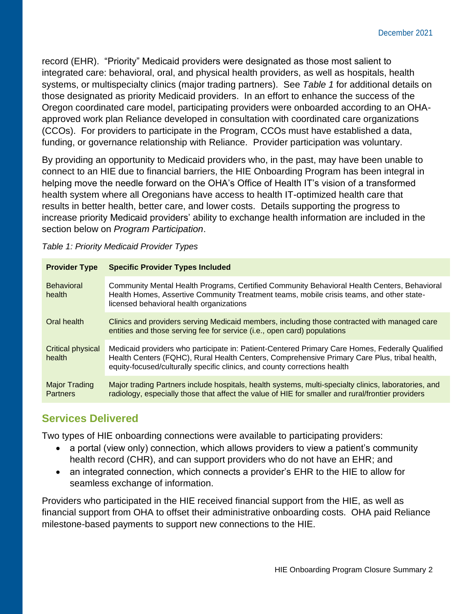record (EHR). "Priority" Medicaid providers were designated as those most salient to integrated care: behavioral, oral, and physical health providers, as well as hospitals, health systems, or multispecialty clinics (major trading partners). See *Table 1* for additional details on those designated as priority Medicaid providers. In an effort to enhance the success of the Oregon coordinated care model, participating providers were onboarded according to an OHAapproved work plan Reliance developed in consultation with coordinated care organizations (CCOs). For providers to participate in the Program, CCOs must have established a data, funding, or governance relationship with Reliance. Provider participation was voluntary.

By providing an opportunity to Medicaid providers who, in the past, may have been unable to connect to an HIE due to financial barriers, the HIE Onboarding Program has been integral in helping move the needle forward on the OHA's Office of Health IT's vision of a transformed health system where all Oregonians have access to health IT-optimized health care that results in better health, better care, and lower costs. Details supporting the progress to increase priority Medicaid providers' ability to exchange health information are included in the section below on *Program Participation*.

| <b>Provider Type</b>             | <b>Specific Provider Types Included</b>                                                                                                                                                                                                                                      |  |  |  |  |  |
|----------------------------------|------------------------------------------------------------------------------------------------------------------------------------------------------------------------------------------------------------------------------------------------------------------------------|--|--|--|--|--|
| <b>Behavioral</b><br>health      | Community Mental Health Programs, Certified Community Behavioral Health Centers, Behavioral<br>Health Homes, Assertive Community Treatment teams, mobile crisis teams, and other state-<br>licensed behavioral health organizations                                          |  |  |  |  |  |
| Oral health                      | Clinics and providers serving Medicaid members, including those contracted with managed care<br>entities and those serving fee for service (i.e., open card) populations                                                                                                     |  |  |  |  |  |
| Critical physical<br>health      | Medicaid providers who participate in: Patient-Centered Primary Care Homes, Federally Qualified<br>Health Centers (FQHC), Rural Health Centers, Comprehensive Primary Care Plus, tribal health,<br>equity-focused/culturally specific clinics, and county corrections health |  |  |  |  |  |
| Major Trading<br><b>Partners</b> | Major trading Partners include hospitals, health systems, multi-specialty clinics, laboratories, and<br>radiology, especially those that affect the value of HIE for smaller and rural/frontier providers                                                                    |  |  |  |  |  |

*Table 1: Priority Medicaid Provider Types* 

# **Services Delivered**

Two types of HIE onboarding connections were available to participating providers:

- a portal (view only) connection, which allows providers to view a patient's community health record (CHR), and can support providers who do not have an EHR; and
- an integrated connection, which connects a provider's EHR to the HIE to allow for seamless exchange of information.

Providers who participated in the HIE received financial support from the HIE, as well as financial support from OHA to offset their administrative onboarding costs. OHA paid Reliance milestone-based payments to support new connections to the HIE.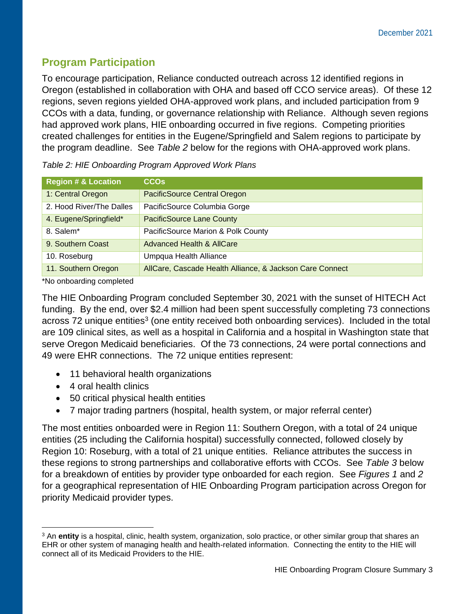# **Program Participation**

To encourage participation, Reliance conducted outreach across 12 identified regions in Oregon (established in collaboration with OHA and based off CCO service areas). Of these 12 regions, seven regions yielded OHA-approved work plans, and included participation from 9 CCOs with a data, funding, or governance relationship with Reliance. Although seven regions had approved work plans, HIE onboarding occurred in five regions. Competing priorities created challenges for entities in the Eugene/Springfield and Salem regions to participate by the program deadline. See *Table 2* below for the regions with OHA-approved work plans.

| <b>Region # &amp; Location</b> | <b>CCO<sub>s</sub></b>                                   |
|--------------------------------|----------------------------------------------------------|
| 1: Central Oregon              | PacificSource Central Oregon                             |
| 2. Hood River/The Dalles       | PacificSource Columbia Gorge                             |
| 4. Eugene/Springfield*         | <b>PacificSource Lane County</b>                         |
| 8. Salem*                      | PacificSource Marion & Polk County                       |
| 9. Southern Coast              | Advanced Health & AllCare                                |
| 10. Roseburg                   | Umpqua Health Alliance                                   |
| 11. Southern Oregon            | AllCare, Cascade Health Alliance, & Jackson Care Connect |

*Table 2: HIE Onboarding Program Approved Work Plans* 

\*No onboarding completed

The HIE Onboarding Program concluded September 30, 2021 with the sunset of HITECH Act funding. By the end, over \$2.4 million had been spent successfully completing 73 connections across 72 unique entities<sup>3</sup> (one entity received both onboarding services). Included in the total are 109 clinical sites, as well as a hospital in California and a hospital in Washington state that serve Oregon Medicaid beneficiaries. Of the 73 connections, 24 were portal connections and 49 were EHR connections. The 72 unique entities represent:

- 11 behavioral health organizations
- 4 oral health clinics
- 50 critical physical health entities
- 7 major trading partners (hospital, health system, or major referral center)

The most entities onboarded were in Region 11: Southern Oregon, with a total of 24 unique entities (25 including the California hospital) successfully connected, followed closely by Region 10: Roseburg, with a total of 21 unique entities. Reliance attributes the success in these regions to strong partnerships and collaborative efforts with CCOs. See *Table 3* below for a breakdown of entities by provider type onboarded for each region. See *Figures 1* and *2* for a geographical representation of HIE Onboarding Program participation across Oregon for priority Medicaid provider types.

<sup>3</sup> An **entity** is a hospital, clinic, health system, organization, solo practice, or other similar group that shares an EHR or other system of managing health and health-related information. Connecting the entity to the HIE will connect all of its Medicaid Providers to the HIE.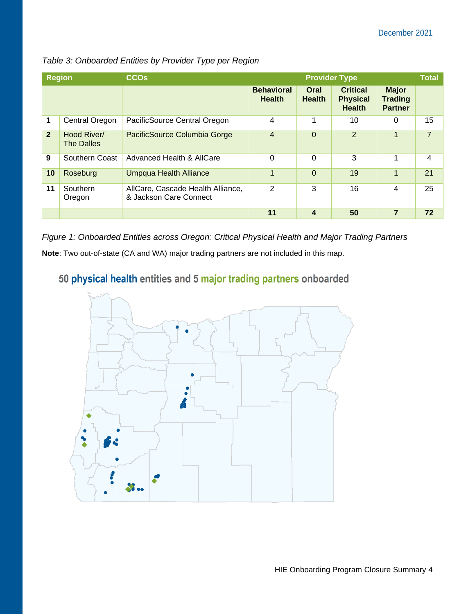| <b>Region</b>  |                                  | <b>CCO<sub>s</sub></b>                                      | <b>Total</b><br><b>Provider Type</b> |                         |                                                     |                                                  |                |
|----------------|----------------------------------|-------------------------------------------------------------|--------------------------------------|-------------------------|-----------------------------------------------------|--------------------------------------------------|----------------|
|                |                                  |                                                             | <b>Behavioral</b><br><b>Health</b>   | Oral<br><b>Health</b>   | <b>Critical</b><br><b>Physical</b><br><b>Health</b> | <b>Major</b><br><b>Trading</b><br><b>Partner</b> |                |
| 1              | Central Oregon                   | PacificSource Central Oregon                                | 4                                    | 1                       | 10                                                  | $\Omega$                                         | 15             |
| $\overline{2}$ | Hood River/<br><b>The Dalles</b> | PacificSource Columbia Gorge                                | $\overline{4}$                       | $\overline{0}$          | 2                                                   | $\mathbf 1$                                      | $\overline{7}$ |
| 9              | Southern Coast                   | Advanced Health & AllCare                                   | 0                                    | 0                       | 3                                                   | 1                                                | 4              |
| 10             | Roseburg                         | Umpqua Health Alliance                                      | 1                                    | $\Omega$                | 19                                                  | 1                                                | 21             |
| 11             | Southern<br>Oregon               | AllCare, Cascade Health Alliance,<br>& Jackson Care Connect | 2                                    | 3                       | 16                                                  | 4                                                | 25             |
|                |                                  |                                                             | 11                                   | $\overline{\mathbf{4}}$ | 50                                                  | 7                                                | 72             |

*Table 3: Onboarded Entities by Provider Type per Region* 

*Figure 1: Onboarded Entities across Oregon: Critical Physical Health and Major Trading Partners* **Note**: Two out-of-state (CA and WA) major trading partners are not included in this map.

# 50 physical health entities and 5 major trading partners onboarded

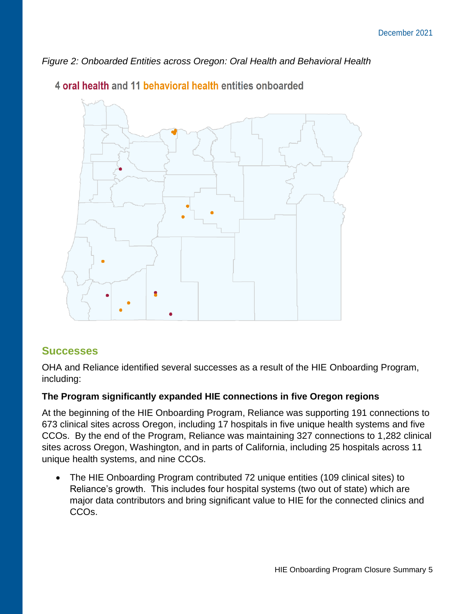*Figure 2: Onboarded Entities across Oregon: Oral Health and Behavioral Health*



4 oral health and 11 behavioral health entities onboarded

### **Successes**

OHA and Reliance identified several successes as a result of the HIE Onboarding Program, including:

### **The Program significantly expanded HIE connections in five Oregon regions**

At the beginning of the HIE Onboarding Program, Reliance was supporting 191 connections to 673 clinical sites across Oregon, including 17 hospitals in five unique health systems and five CCOs. By the end of the Program, Reliance was maintaining 327 connections to 1,282 clinical sites across Oregon, Washington, and in parts of California, including 25 hospitals across 11 unique health systems, and nine CCOs.

• The HIE Onboarding Program contributed 72 unique entities (109 clinical sites) to Reliance's growth. This includes four hospital systems (two out of state) which are major data contributors and bring significant value to HIE for the connected clinics and CCOs.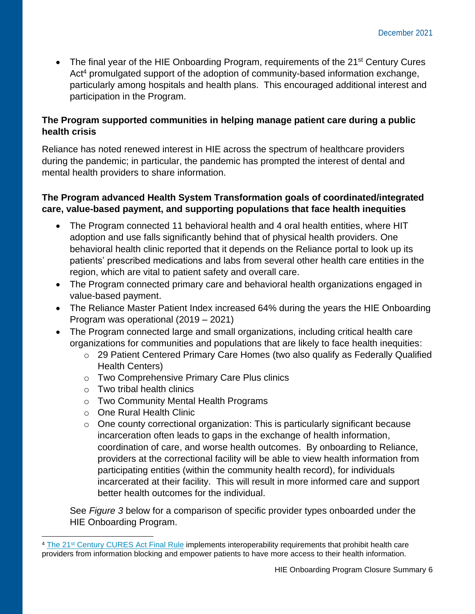• The final year of the HIE Onboarding Program, requirements of the 21<sup>st</sup> Century Cures Act<sup>4</sup> promulgated support of the adoption of community-based information exchange, particularly among hospitals and health plans. This encouraged additional interest and participation in the Program.

#### **The Program supported communities in helping manage patient care during a public health crisis**

Reliance has noted renewed interest in HIE across the spectrum of healthcare providers during the pandemic; in particular, the pandemic has prompted the interest of dental and mental health providers to share information.

#### **The Program advanced Health System Transformation goals of coordinated/integrated care, value-based payment, and supporting populations that face health inequities**

- The Program connected 11 behavioral health and 4 oral health entities, where HIT adoption and use falls significantly behind that of physical health providers. One behavioral health clinic reported that it depends on the Reliance portal to look up its patients' prescribed medications and labs from several other health care entities in the region, which are vital to patient safety and overall care.
- The Program connected primary care and behavioral health organizations engaged in value-based payment.
- The Reliance Master Patient Index increased 64% during the years the HIE Onboarding Program was operational (2019 – 2021)
- The Program connected large and small organizations, including critical health care organizations for communities and populations that are likely to face health inequities:
	- o 29 Patient Centered Primary Care Homes (two also qualify as Federally Qualified Health Centers)
	- o Two Comprehensive Primary Care Plus clinics
	- o Two tribal health clinics
	- o Two Community Mental Health Programs
	- o One Rural Health Clinic
	- o One county correctional organization: This is particularly significant because incarceration often leads to gaps in the exchange of health information, coordination of care, and worse health outcomes. By onboarding to Reliance, providers at the correctional facility will be able to view health information from participating entities (within the community health record), for individuals incarcerated at their facility. This will result in more informed care and support better health outcomes for the individual.

See *Figure 3* below for a comparison of specific provider types onboarded under the HIE Onboarding Program.

<sup>&</sup>lt;sup>4</sup> The 21<sup>st</sup> [Century CURES Act Final Rule](https://www.healthit.gov/curesrule/overview/about-oncs-cures-act-final-rule) implements interoperability requirements that prohibit health care providers from information blocking and empower patients to have more access to their health information.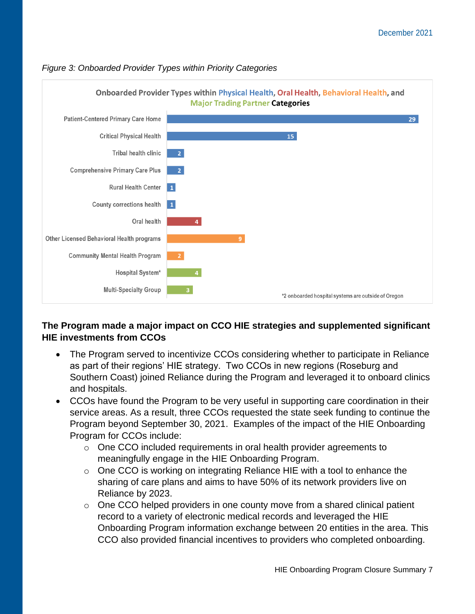

#### *Figure 3: Onboarded Provider Types within Priority Categories*

### **The Program made a major impact on CCO HIE strategies and supplemented significant HIE investments from CCOs**

- The Program served to incentivize CCOs considering whether to participate in Reliance as part of their regions' HIE strategy. Two CCOs in new regions (Roseburg and Southern Coast) joined Reliance during the Program and leveraged it to onboard clinics and hospitals.
- CCOs have found the Program to be very useful in supporting care coordination in their service areas. As a result, three CCOs requested the state seek funding to continue the Program beyond September 30, 2021. Examples of the impact of the HIE Onboarding Program for CCOs include:
	- o One CCO included requirements in oral health provider agreements to meaningfully engage in the HIE Onboarding Program.
	- o One CCO is working on integrating Reliance HIE with a tool to enhance the sharing of care plans and aims to have 50% of its network providers live on Reliance by 2023.
	- $\circ$  One CCO helped providers in one county move from a shared clinical patient record to a variety of electronic medical records and leveraged the HIE Onboarding Program information exchange between 20 entities in the area. This CCO also provided financial incentives to providers who completed onboarding.